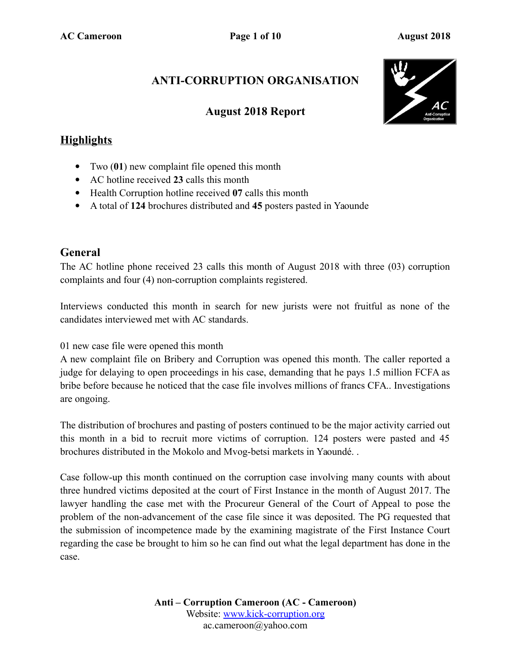### **ANTI-CORRUPTION ORGANISATION**

### **August 2018 Report**



### **Highlights**

- Two (**01**) new complaint file opened this month
- AC hotline received **23** calls this month
- Health Corruption hotline received **07** calls this month
- A total of **124** brochures distributed and **45** posters pasted in Yaounde

### **General**

The AC hotline phone received 23 calls this month of August 2018 with three (03) corruption complaints and four (4) non-corruption complaints registered.

Interviews conducted this month in search for new jurists were not fruitful as none of the candidates interviewed met with AC standards.

01 new case file were opened this month

A new complaint file on Bribery and Corruption was opened this month. The caller reported a judge for delaying to open proceedings in his case, demanding that he pays 1.5 million FCFA as bribe before because he noticed that the case file involves millions of francs CFA.. Investigations are ongoing.

The distribution of brochures and pasting of posters continued to be the major activity carried out this month in a bid to recruit more victims of corruption. 124 posters were pasted and 45 brochures distributed in the Mokolo and Mvog-betsi markets in Yaoundé. .

Case follow-up this month continued on the corruption case involving many counts with about three hundred victims deposited at the court of First Instance in the month of August 2017. The lawyer handling the case met with the Procureur General of the Court of Appeal to pose the problem of the non-advancement of the case file since it was deposited. The PG requested that the submission of incompetence made by the examining magistrate of the First Instance Court regarding the case be brought to him so he can find out what the legal department has done in the case.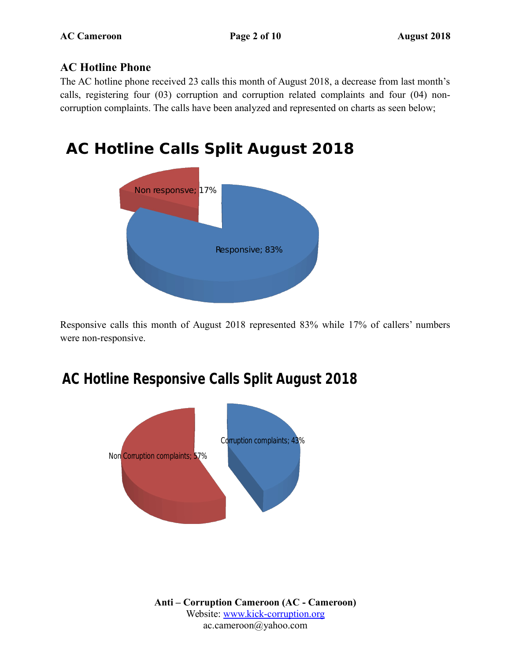#### **AC Hotline Phone**

The AC hotline phone received 23 calls this month of August 2018, a decrease from last month's calls, registering four (03) corruption and corruption related complaints and four (04) noncorruption complaints. The calls have been analyzed and represented on charts as seen below;

# **AC Hotline Calls Split August 2018**



Responsive calls this month of August 2018 represented 83% while 17% of callers' numbers were non-responsive.

## **AC Hotline Responsive Calls Split August 2018**

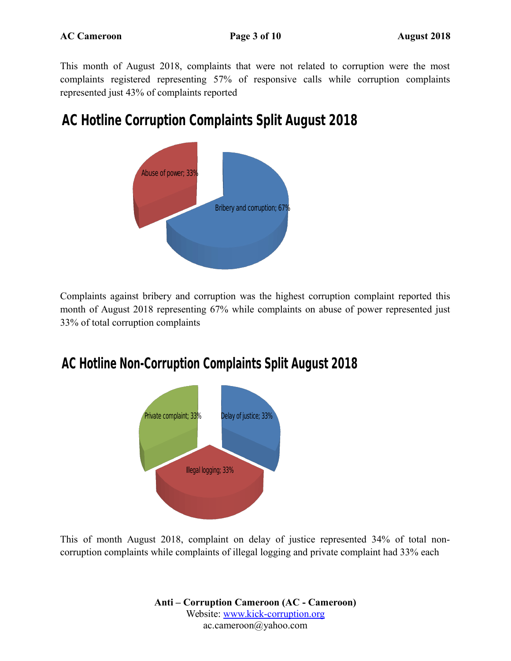This month of August 2018, complaints that were not related to corruption were the most complaints registered representing 57% of responsive calls while corruption complaints represented just 43% of complaints reported

## **AC Hotline Corruption Complaints Split August 2018**



Complaints against bribery and corruption was the highest corruption complaint reported this month of August 2018 representing 67% while complaints on abuse of power represented just 33% of total corruption complaints

### **AC Hotline Non-Corruption Complaints Split August 2018**



This of month August 2018, complaint on delay of justice represented 34% of total noncorruption complaints while complaints of illegal logging and private complaint had 33% each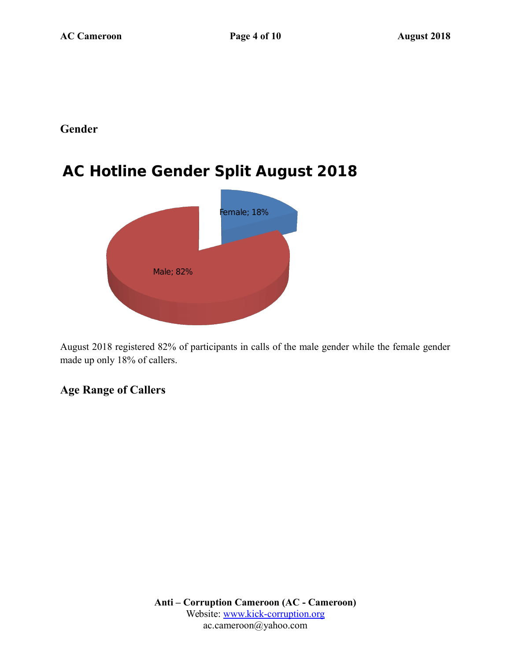#### **Gender**

## **AC Hotline Gender Split August 2018**



August 2018 registered 82% of participants in calls of the male gender while the female gender made up only 18% of callers.

#### **Age Range of Callers**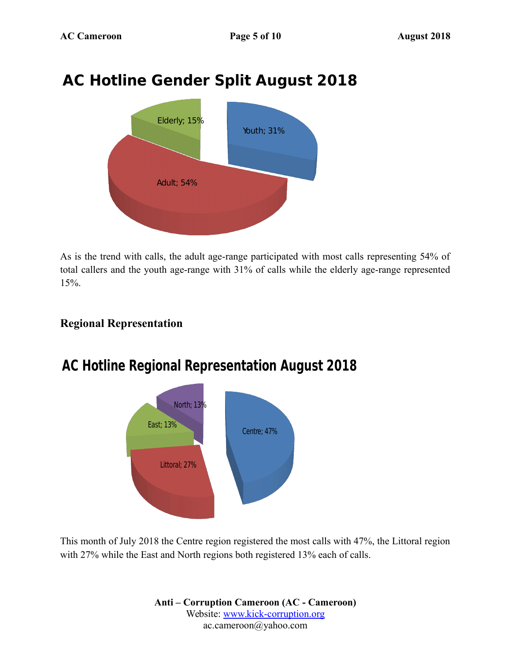# **AC Hotline Gender Split August 2018**



As is the trend with calls, the adult age-range participated with most calls representing 54% of total callers and the youth age-range with 31% of calls while the elderly age-range represented 15%.

### **Regional Representation**



## **AC Hotline Regional Representation August 2018**

This month of July 2018 the Centre region registered the most calls with 47%, the Littoral region with 27% while the East and North regions both registered 13% each of calls.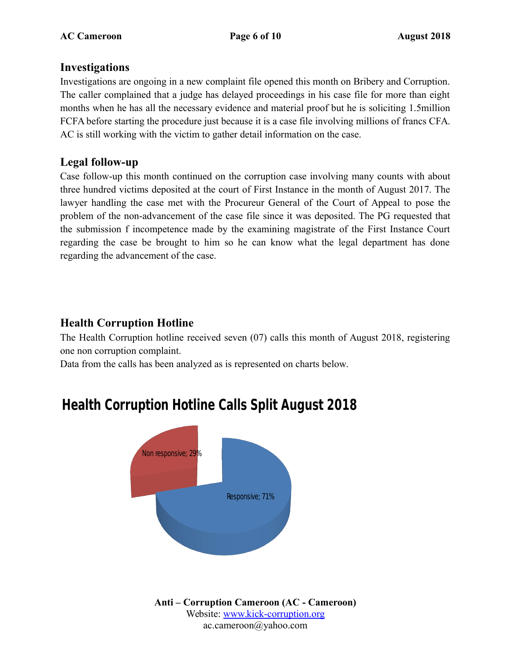#### **Investigations**

Investigations are ongoing in a new complaint file opened this month on Bribery and Corruption. The caller complained that a judge has delayed proceedings in his case file for more than eight months when he has all the necessary evidence and material proof but he is soliciting 1.5million FCFA before starting the procedure just because it is a case file involving millions of francs CFA. AC is still working with the victim to gather detail information on the case.

### **Legal follow-up**

Case follow-up this month continued on the corruption case involving many counts with about three hundred victims deposited at the court of First Instance in the month of August 2017. The lawyer handling the case met with the Procureur General of the Court of Appeal to pose the problem of the non-advancement of the case file since it was deposited. The PG requested that the submission f incompetence made by the examining magistrate of the First Instance Court regarding the case be brought to him so he can know what the legal department has done regarding the advancement of the case.

### **Health Corruption Hotline**

The Health Corruption hotline received seven (07) calls this month of August 2018, registering one non corruption complaint.

Data from the calls has been analyzed as is represented on charts below.



# **Health Corruption Hotline Calls Split August 2018**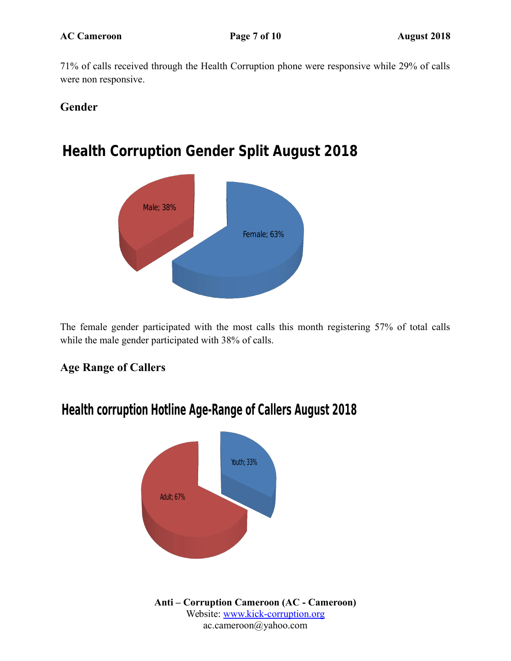71% of calls received through the Health Corruption phone were responsive while 29% of calls were non responsive.

### **Gender**

## **Health Corruption Gender Split August 2018**



The female gender participated with the most calls this month registering 57% of total calls while the male gender participated with 38% of calls.

### **Age Range of Callers**



### **Health corruption Hotline Age-Range of Callers August 2018**

**Anti – Corruption Cameroon (AC - Cameroon)** Website: [www.kick-corruption.org](http://www.kick-corruption.org/) ac.cameroon@yahoo.com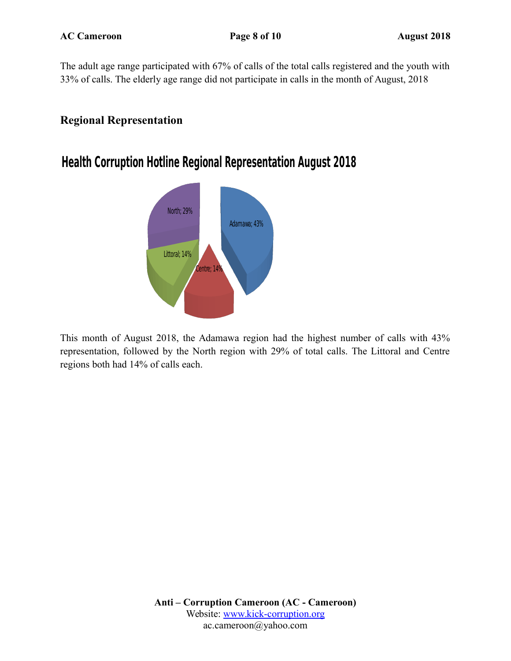The adult age range participated with 67% of calls of the total calls registered and the youth with 33% of calls. The elderly age range did not participate in calls in the month of August, 2018

### **Regional Representation**

### **Health Corruption Hotline Regional Representation August 2018**



This month of August 2018, the Adamawa region had the highest number of calls with 43% representation, followed by the North region with 29% of total calls. The Littoral and Centre regions both had 14% of calls each.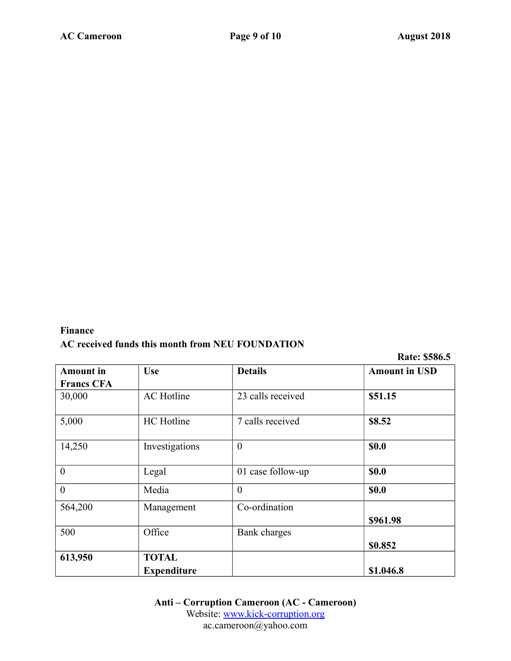#### **Finance AC received funds this month from NEU FOUNDATION**

**Rate: \$586.5**

| <b>Amount</b> in  | <b>Use</b>         | <b>Details</b>    | <b>Amount in USD</b> |
|-------------------|--------------------|-------------------|----------------------|
| <b>Francs CFA</b> |                    |                   |                      |
| 30,000            | <b>AC</b> Hotline  | 23 calls received | \$51.15              |
| 5,000             | <b>HC</b> Hotline  | 7 calls received  | \$8.52               |
| 14,250            | Investigations     | $\overline{0}$    | <b>\$0.0</b>         |
| $\overline{0}$    | Legal              | 01 case follow-up | <b>\$0.0</b>         |
| $\overline{0}$    | Media              | $\overline{0}$    | <b>\$0.0</b>         |
| 564,200           | Management         | Co-ordination     |                      |
|                   |                    |                   | \$961.98             |
| 500               | Office             | Bank charges      |                      |
|                   |                    |                   | \$0.852              |
| 613,950           | <b>TOTAL</b>       |                   |                      |
|                   | <b>Expenditure</b> |                   | \$1.046.8            |